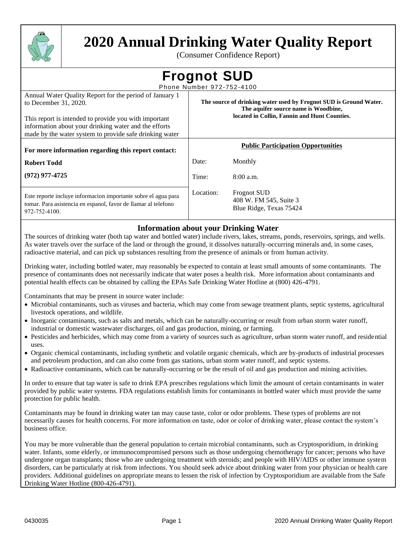

# **2020 Annual Drinking Water Quality Report**

(Consumer Confidence Report)

| <b>Frognot SUD</b> |  |  |
|--------------------|--|--|
|                    |  |  |

Phone Number 972-752-4100

| Annual Water Quality Report for the period of January 1<br>to December 31, 2020.<br>This report is intended to provide you with important<br>information about your drinking water and the efforts<br>made by the water system to provide safe drinking water | The source of drinking water used by Frognot SUD is Ground Water.<br>The aquifer source name is Woodbine,<br>located in Collin, Fannin and Hunt Counties. |                                                                         |  |  |  |  |
|---------------------------------------------------------------------------------------------------------------------------------------------------------------------------------------------------------------------------------------------------------------|-----------------------------------------------------------------------------------------------------------------------------------------------------------|-------------------------------------------------------------------------|--|--|--|--|
| For more information regarding this report contact:                                                                                                                                                                                                           |                                                                                                                                                           | <b>Public Participation Opportunities</b>                               |  |  |  |  |
| <b>Robert Todd</b>                                                                                                                                                                                                                                            | Date:                                                                                                                                                     | Monthly                                                                 |  |  |  |  |
| $(972)$ 977-4725                                                                                                                                                                                                                                              | Time:                                                                                                                                                     | $8:00$ a.m.                                                             |  |  |  |  |
| Este reporte incluye informacion importante sobre el agua para<br>tomar. Para asistencia en espanol, favor de llamar al telefono<br>972-752-4100.                                                                                                             | Location:                                                                                                                                                 | <b>Frognot SUD</b><br>408 W. FM 545, Suite 3<br>Blue Ridge, Texas 75424 |  |  |  |  |

# **Information about your Drinking Water**

The sources of drinking water (both tap water and bottled water) include rivers, lakes, streams, ponds, reservoirs, springs, and wells. As water travels over the surface of the land or through the ground, it dissolves naturally-occurring minerals and, in some cases, radioactive material, and can pick up substances resulting from the presence of animals or from human activity.

Drinking water, including bottled water, may reasonably be expected to contain at least small amounts of some contaminants. The presence of contaminants does not necessarily indicate that water poses a health risk. More information about contaminants and potential health effects can be obtained by calling the EPAs Safe Drinking Water Hotline at (800) 426-4791.

Contaminants that may be present in source water include:

- Microbial contaminants, such as viruses and bacteria, which may come from sewage treatment plants, septic systems, agricultural livestock operations, and wildlife.
- Inorganic contaminants, such as salts and metals, which can be naturally-occurring or result from urban storm water runoff, industrial or domestic wastewater discharges, oil and gas production, mining, or farming.
- Pesticides and herbicides, which may come from a variety of sources such as agriculture, urban storm water runoff, and residential uses.
- Organic chemical contaminants, including synthetic and volatile organic chemicals, which are by-products of industrial processes and petroleum production, and can also come from gas stations, urban storm water runoff, and septic systems.
- Radioactive contaminants, which can be naturally-occurring or be the result of oil and gas production and mining activities.

In order to ensure that tap water is safe to drink EPA prescribes regulations which limit the amount of certain contaminants in water provided by public water systems. FDA regulations establish limits for contaminants in bottled water which must provide the same protection for public health.

Contaminants may be found in drinking water tan may cause taste, color or odor problems. These types of problems are not necessarily causes for health concerns. For more information on taste, odor or color of drinking water, please contact the system's business office.

You may be more vulnerable than the general population to certain microbial contaminants, such as Cryptosporidium, in drinking water. Infants, some elderly, or immunocompromised persons such as those undergoing chemotherapy for cancer; persons who have undergone organ transplants; those who are undergoing treatment with steroids; and people with HIV/AIDS or other immune system disorders, can be particularly at risk from infections. You should seek advice about drinking water from your physician or health care providers. Additional guidelines on appropriate means to lessen the risk of infection by Cryptosporidium are available from the Safe Drinking Water Hotline (800-426-4791).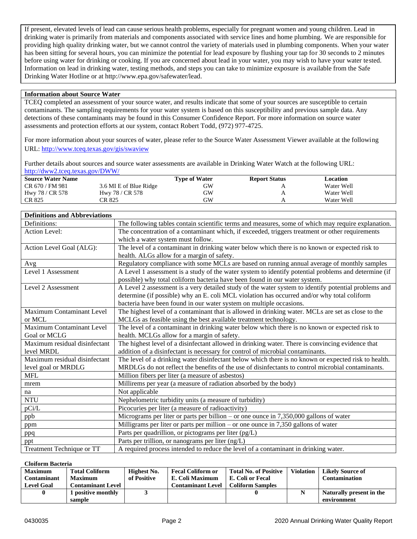If present, elevated levels of lead can cause serious health problems, especially for pregnant women and young children. Lead in drinking water is primarily from materials and components associated with service lines and home plumbing. We are responsible for providing high quality drinking water, but we cannot control the variety of materials used in plumbing components. When your water has been sitting for several hours, you can minimize the potential for lead exposure by flushing your tap for 30 seconds to 2 minutes before using water for drinking or cooking. If you are concerned about lead in your water, you may wish to have your water tested. Information on lead in drinking water, testing methods, and steps you can take to minimize exposure is available from the Safe Drinking Water Hotline or at http://www.epa.gov/safewater/lead.

### **Information about Source Water**

TCEQ completed an assessment of your source water, and results indicate that some of your sources are susceptible to certain contaminants. The sampling requirements for your water system is based on this susceptibility and previous sample data. Any detections of these contaminants may be found in this Consumer Confidence Report. For more information on source water assessments and protection efforts at our system, contact Robert Todd, (972) 977-4725.

For more information about your sources of water, please refer to the Source Water Assessment Viewer available at the following URL:<http://www.tceq.texas.gov/gis/swaview>

Further details about sources and source water assessments are available in Drinking Water Watch at the following URL: <http://dww2.tceq.texas.gov/DWW/>

| <b>Source Water Name</b> |                        | <b>Type of Water</b> | <b>Report Status</b> | Location   |  |
|--------------------------|------------------------|----------------------|----------------------|------------|--|
| CR 670 / FM 981          | 3.6 MI E of Blue Ridge | GW                   |                      | Water Well |  |
| Hwy 78 / CR 578          | Hwy 78 / CR 578        | GW                   |                      | Water Well |  |
| CR 825                   | CR 825                 | <b>GW</b>            |                      | Water Well |  |

#### **Definitions and Abbreviations** Definitions: The following tables contain scientific terms and measures, some of which may require explanation. Action Level: The concentration of a contaminant which, if exceeded, triggers treatment or other requirements which a water system must follow. Action Level Goal (ALG): Fine level of a contaminant in drinking water below which there is no known or expected risk to health. ALGs allow for a margin of safety. Avg Regulatory compliance with some MCLs are based on running annual average of monthly samples Level 1 Assessment A Level 1 assessment is a study of the water system to identify potential problems and determine (if possible) why total coliform bacteria have been found in our water system. Level 2 Assessment A Level 2 assessment is a very detailed study of the water system to identify potential problems and determine (if possible) why an E. coli MCL violation has occurred and/or why total coliform bacteria have been found in our water system on multiple occasions. Maximum Contaminant Level or MCL The highest level of a contaminant that is allowed in drinking water. MCLs are set as close to the MCLGs as feasible using the best available treatment technology. Maximum Contaminant Level Goal or MCLG The level of a contaminant in drinking water below which there is no known or expected risk to health. MCLGs allow for a margin of safety. Maximum residual disinfectant level MRDL The highest level of a disinfectant allowed in drinking water. There is convincing evidence that addition of a disinfectant is necessary for control of microbial contaminants. Maximum residual disinfectant level goal or MRDLG The level of a drinking water disinfectant below which there is no known or expected risk to health. MRDLGs do not reflect the benefits of the use of disinfectants to control microbial contaminants. MFL Million fibers per liter (a measure of asbestos) mrem Millirems per year (a measure of radiation absorbed by the body) na Not applicable NTU Nephelometric turbidity units (a measure of turbidity) pCi/L Picocuries per liter (a measure of radioactivity) ppb Micrograms per liter or parts per billion – or one ounce in 7,350,000 gallons of water ppm Milligrams per liter or parts per million – or one ounce in 7,350 gallons of water ppq Parts per quadrillion, or pictograms per liter (pg/L) ppt Parts per trillion, or nanograms per liter (ng/L) Treatment Technique or TT  $\parallel$  A required process intended to reduce the level of a contaminant in drinking water.

#### **Cloiform Bacteria**

| <b>Maximum</b>    | <b>Total Coliform</b>    | Highest No. | <b>Fecal Coliform or</b> | <b>Total No. of Positive</b> | <b>Violation</b> | <b>Likely Source of</b>  |
|-------------------|--------------------------|-------------|--------------------------|------------------------------|------------------|--------------------------|
| Contaminant       | <b>Maximum</b>           | of Positive | E. Coli Maximum          | E. Coli or Fecal             |                  | Contamination            |
| <b>Level Goal</b> | <b>Contaminant Level</b> |             | <b>Contaminant Level</b> | <b>Coliform Samples</b>      |                  |                          |
| 0                 | positive monthly         |             |                          |                              |                  | Naturally present in the |
|                   | sample                   |             |                          |                              |                  | environment              |